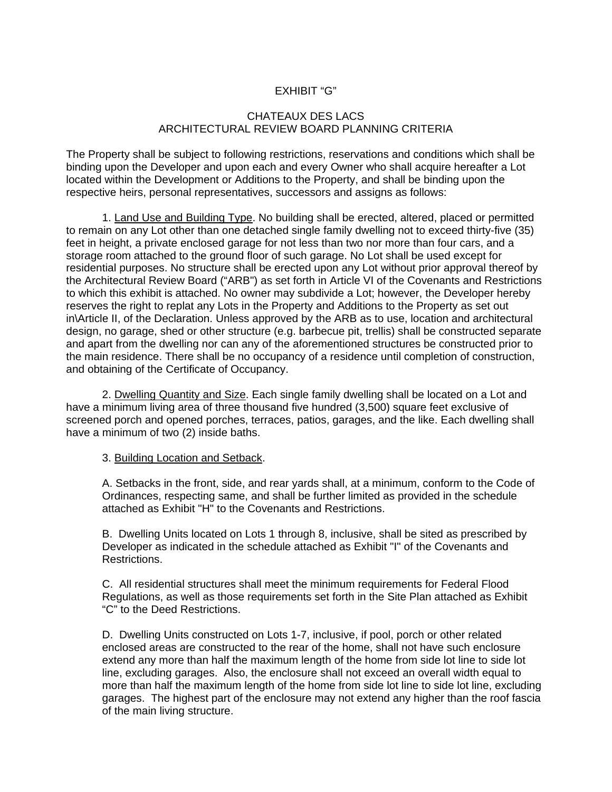## EXHIBIT "G"

## CHATEAUX DES LACS ARCHITECTURAL REVIEW BOARD PLANNING CRITERIA

The Property shall be subject to following restrictions, reservations and conditions which shall be binding upon the Developer and upon each and every Owner who shall acquire hereafter a Lot located within the Development or Additions to the Property, and shall be binding upon the respective heirs, personal representatives, successors and assigns as follows:

1. Land Use and Building Type. No building shall be erected, altered, placed or permitted to remain on any Lot other than one detached single family dwelling not to exceed thirty-five (35) feet in height, a private enclosed garage for not less than two nor more than four cars, and a storage room attached to the ground floor of such garage. No Lot shall be used except for residential purposes. No structure shall be erected upon any Lot without prior approval thereof by the Architectural Review Board ("ARB") as set forth in Article VI of the Covenants and Restrictions to which this exhibit is attached. No owner may subdivide a Lot; however, the Developer hereby reserves the right to replat any Lots in the Property and Additions to the Property as set out in\Article II, of the Declaration. Unless approved by the ARB as to use, location and architectural design, no garage, shed or other structure (e.g. barbecue pit, trellis) shall be constructed separate and apart from the dwelling nor can any of the aforementioned structures be constructed prior to the main residence. There shall be no occupancy of a residence until completion of construction, and obtaining of the Certificate of Occupancy.

2. Dwelling Quantity and Size. Each single family dwelling shall be located on a Lot and have a minimum living area of three thousand five hundred (3,500) square feet exclusive of screened porch and opened porches, terraces, patios, garages, and the like. Each dwelling shall have a minimum of two (2) inside baths.

3. Building Location and Setback.

A. Setbacks in the front, side, and rear yards shall, at a minimum, conform to the Code of Ordinances, respecting same, and shall be further limited as provided in the schedule attached as Exhibit "H" to the Covenants and Restrictions.

B. Dwelling Units located on Lots 1 through 8, inclusive, shall be sited as prescribed by Developer as indicated in the schedule attached as Exhibit "I" of the Covenants and Restrictions.

C. All residential structures shall meet the minimum requirements for Federal Flood Regulations, as well as those requirements set forth in the Site Plan attached as Exhibit "C" to the Deed Restrictions.

D. Dwelling Units constructed on Lots 1-7, inclusive, if pool, porch or other related enclosed areas are constructed to the rear of the home, shall not have such enclosure extend any more than half the maximum length of the home from side lot line to side lot line, excluding garages. Also, the enclosure shall not exceed an overall width equal to more than half the maximum length of the home from side lot line to side lot line, excluding garages. The highest part of the enclosure may not extend any higher than the roof fascia of the main living structure.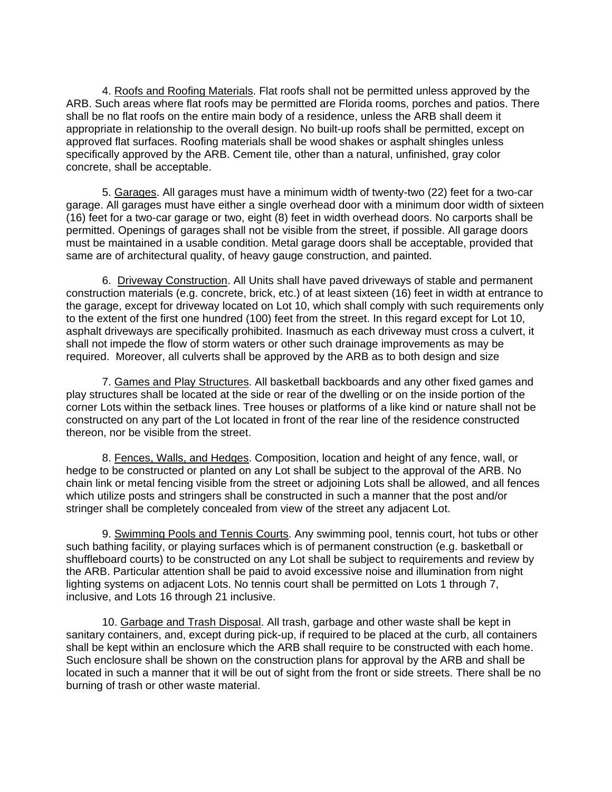4. Roofs and Roofing Materials. Flat roofs shall not be permitted unless approved by the ARB. Such areas where flat roofs may be permitted are Florida rooms, porches and patios. There shall be no flat roofs on the entire main body of a residence, unless the ARB shall deem it appropriate in relationship to the overall design. No built-up roofs shall be permitted, except on approved flat surfaces. Roofing materials shall be wood shakes or asphalt shingles unless specifically approved by the ARB. Cement tile, other than a natural, unfinished, gray color concrete, shall be acceptable.

5. Garages. All garages must have a minimum width of twenty-two (22) feet for a two-car garage. All garages must have either a single overhead door with a minimum door width of sixteen (16) feet for a two-car garage or two, eight (8) feet in width overhead doors. No carports shall be permitted. Openings of garages shall not be visible from the street, if possible. All garage doors must be maintained in a usable condition. Metal garage doors shall be acceptable, provided that same are of architectural quality, of heavy gauge construction, and painted.

6. Driveway Construction. All Units shall have paved driveways of stable and permanent construction materials (e.g. concrete, brick, etc.) of at least sixteen (16) feet in width at entrance to the garage, except for driveway located on Lot 10, which shall comply with such requirements only to the extent of the first one hundred (100) feet from the street. In this regard except for Lot 10, asphalt driveways are specifically prohibited. Inasmuch as each driveway must cross a culvert, it shall not impede the flow of storm waters or other such drainage improvements as may be required. Moreover, all culverts shall be approved by the ARB as to both design and size

7. Games and Play Structures. All basketball backboards and any other fixed games and play structures shall be located at the side or rear of the dwelling or on the inside portion of the corner Lots within the setback lines. Tree houses or platforms of a like kind or nature shall not be constructed on any part of the Lot located in front of the rear line of the residence constructed thereon, nor be visible from the street.

8. Fences, Walls, and Hedges. Composition, location and height of any fence, wall, or hedge to be constructed or planted on any Lot shall be subject to the approval of the ARB. No chain link or metal fencing visible from the street or adjoining Lots shall be allowed, and all fences which utilize posts and stringers shall be constructed in such a manner that the post and/or stringer shall be completely concealed from view of the street any adjacent Lot.

9. Swimming Pools and Tennis Courts. Any swimming pool, tennis court, hot tubs or other such bathing facility, or playing surfaces which is of permanent construction (e.g. basketball or shuffleboard courts) to be constructed on any Lot shall be subject to requirements and review by the ARB. Particular attention shall be paid to avoid excessive noise and illumination from night lighting systems on adjacent Lots. No tennis court shall be permitted on Lots 1 through 7, inclusive, and Lots 16 through 21 inclusive.

10. Garbage and Trash Disposal. All trash, garbage and other waste shall be kept in sanitary containers, and, except during pick-up, if required to be placed at the curb, all containers shall be kept within an enclosure which the ARB shall require to be constructed with each home. Such enclosure shall be shown on the construction plans for approval by the ARB and shall be located in such a manner that it will be out of sight from the front or side streets. There shall be no burning of trash or other waste material.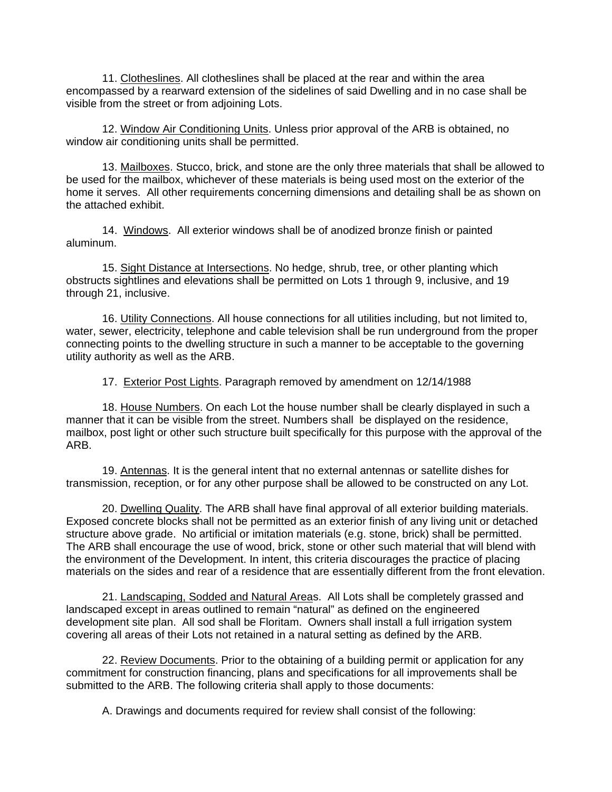11. Clotheslines. All clotheslines shall be placed at the rear and within the area encompassed by a rearward extension of the sidelines of said Dwelling and in no case shall be visible from the street or from adjoining Lots.

12. Window Air Conditioning Units. Unless prior approval of the ARB is obtained, no window air conditioning units shall be permitted.

13. Mailboxes. Stucco, brick, and stone are the only three materials that shall be allowed to be used for the mailbox, whichever of these materials is being used most on the exterior of the home it serves. All other requirements concerning dimensions and detailing shall be as shown on the attached exhibit.

14. Windows. All exterior windows shall be of anodized bronze finish or painted aluminum.

15. Sight Distance at Intersections. No hedge, shrub, tree, or other planting which obstructs sightlines and elevations shall be permitted on Lots 1 through 9, inclusive, and 19 through 21, inclusive.

16. Utility Connections. All house connections for all utilities including, but not limited to, water, sewer, electricity, telephone and cable television shall be run underground from the proper connecting points to the dwelling structure in such a manner to be acceptable to the governing utility authority as well as the ARB.

17. Exterior Post Lights. Paragraph removed by amendment on 12/14/1988

18. House Numbers. On each Lot the house number shall be clearly displayed in such a manner that it can be visible from the street. Numbers shall be displayed on the residence, mailbox, post light or other such structure built specifically for this purpose with the approval of the ARB.

19. Antennas. It is the general intent that no external antennas or satellite dishes for transmission, reception, or for any other purpose shall be allowed to be constructed on any Lot.

20. Dwelling Quality. The ARB shall have final approval of all exterior building materials. Exposed concrete blocks shall not be permitted as an exterior finish of any living unit or detached structure above grade. No artificial or imitation materials (e.g. stone, brick) shall be permitted. The ARB shall encourage the use of wood, brick, stone or other such material that will blend with the environment of the Development. In intent, this criteria discourages the practice of placing materials on the sides and rear of a residence that are essentially different from the front elevation.

21. Landscaping, Sodded and Natural Areas. All Lots shall be completely grassed and landscaped except in areas outlined to remain "natural" as defined on the engineered development site plan. All sod shall be Floritam. Owners shall install a full irrigation system covering all areas of their Lots not retained in a natural setting as defined by the ARB.

22. Review Documents. Prior to the obtaining of a building permit or application for any commitment for construction financing, plans and specifications for all improvements shall be submitted to the ARB. The following criteria shall apply to those documents:

A. Drawings and documents required for review shall consist of the following: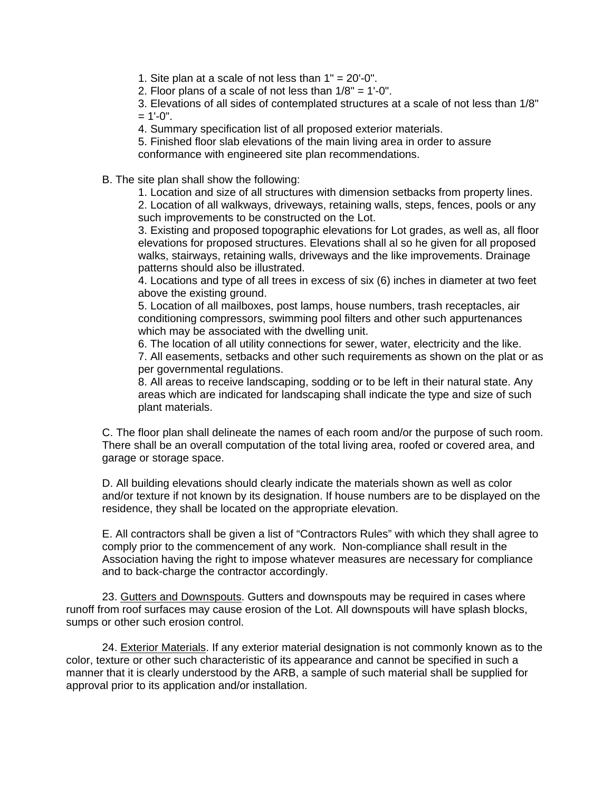1. Site plan at a scale of not less than  $1" = 20'-0"$ .

2. Floor plans of a scale of not less than 1/8" = 1'-0".

3. Elevations of all sides of contemplated structures at a scale of not less than 1/8"  $= 1'$ -0".

4. Summary specification list of all proposed exterior materials.

5. Finished floor slab elevations of the main living area in order to assure conformance with engineered site plan recommendations.

B. The site plan shall show the following:

1. Location and size of all structures with dimension setbacks from property lines.

2. Location of all walkways, driveways, retaining walls, steps, fences, pools or any such improvements to be constructed on the Lot.

3. Existing and proposed topographic elevations for Lot grades, as well as, all floor elevations for proposed structures. Elevations shall al so he given for all proposed walks, stairways, retaining walls, driveways and the like improvements. Drainage patterns should also be illustrated.

4. Locations and type of all trees in excess of six (6) inches in diameter at two feet above the existing ground.

5. Location of all mailboxes, post lamps, house numbers, trash receptacles, air conditioning compressors, swimming pool filters and other such appurtenances which may be associated with the dwelling unit.

6. The location of all utility connections for sewer, water, electricity and the like. 7. All easements, setbacks and other such requirements as shown on the plat or as per governmental regulations.

8. All areas to receive landscaping, sodding or to be left in their natural state. Any areas which are indicated for landscaping shall indicate the type and size of such plant materials.

C. The floor plan shall delineate the names of each room and/or the purpose of such room. There shall be an overall computation of the total living area, roofed or covered area, and garage or storage space.

D. All building elevations should clearly indicate the materials shown as well as color and/or texture if not known by its designation. If house numbers are to be displayed on the residence, they shall be located on the appropriate elevation.

E. All contractors shall be given a list of "Contractors Rules" with which they shall agree to comply prior to the commencement of any work. Non-compliance shall result in the Association having the right to impose whatever measures are necessary for compliance and to back-charge the contractor accordingly.

23. Gutters and Downspouts. Gutters and downspouts may be required in cases where runoff from roof surfaces may cause erosion of the Lot. All downspouts will have splash blocks, sumps or other such erosion control.

24. Exterior Materials. If any exterior material designation is not commonly known as to the color, texture or other such characteristic of its appearance and cannot be specified in such a manner that it is clearly understood by the ARB, a sample of such material shall be supplied for approval prior to its application and/or installation.